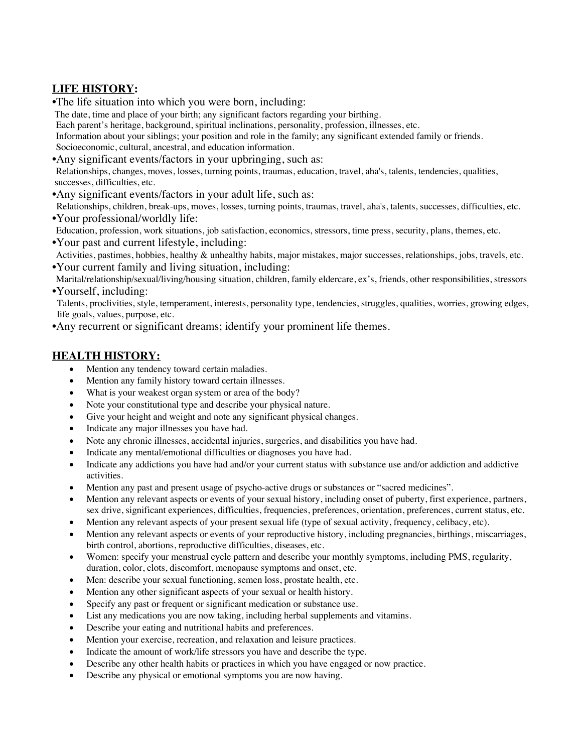## **LIFE HISTORY:**

•The life situation into which you were born, including:

The date, time and place of your birth; any significant factors regarding your birthing.

Each parent's heritage, background, spiritual inclinations, personality, profession, illnesses, etc.

Information about your siblings; your position and role in the family; any significant extended family or friends. Socioeconomic, cultural, ancestral, and education information.

•Any significant events/factors in your upbringing, such as:

Relationships, changes, moves, losses, turning points, traumas, education, travel, aha's, talents, tendencies, qualities, successes, difficulties, etc.

•Any significant events/factors in your adult life, such as:

Relationships, children, break-ups, moves, losses, turning points, traumas, travel, aha's, talents, successes, difficulties, etc. •Your professional/worldly life:

- Education, profession, work situations, job satisfaction, economics, stressors, time press, security, plans, themes, etc.
- •Your past and current lifestyle, including:
- Activities, pastimes, hobbies, healthy & unhealthy habits, major mistakes, major successes, relationships, jobs, travels, etc. •Your current family and living situation, including:

Marital/relationship/sexual/living/housing situation, children, family eldercare, ex's, friends, other responsibilities, stressors •Yourself, including:

 Talents, proclivities, style, temperament, interests, personality type, tendencies, struggles, qualities, worries, growing edges, life goals, values, purpose, etc.

•Any recurrent or significant dreams; identify your prominent life themes.

## **HEALTH HISTORY:**

- Mention any tendency toward certain maladies.
- Mention any family history toward certain illnesses.
- What is your weakest organ system or area of the body?
- Note your constitutional type and describe your physical nature.
- Give your height and weight and note any significant physical changes.
- Indicate any major illnesses you have had.
- Note any chronic illnesses, accidental injuries, surgeries, and disabilities you have had.
- Indicate any mental/emotional difficulties or diagnoses you have had.
- Indicate any addictions you have had and/or your current status with substance use and/or addiction and addictive activities.
- Mention any past and present usage of psycho-active drugs or substances or "sacred medicines".
- Mention any relevant aspects or events of your sexual history, including onset of puberty, first experience, partners, sex drive, significant experiences, difficulties, frequencies, preferences, orientation, preferences, current status, etc.
- Mention any relevant aspects of your present sexual life (type of sexual activity, frequency, celibacy, etc).
- Mention any relevant aspects or events of your reproductive history, including pregnancies, birthings, miscarriages, birth control, abortions, reproductive difficulties, diseases, etc.
- Women: specify your menstrual cycle pattern and describe your monthly symptoms, including PMS, regularity, duration, color, clots, discomfort, menopause symptoms and onset, etc.
- Men: describe your sexual functioning, semen loss, prostate health, etc.
- Mention any other significant aspects of your sexual or health history.
- Specify any past or frequent or significant medication or substance use.
- List any medications you are now taking, including herbal supplements and vitamins.
- Describe your eating and nutritional habits and preferences.
- Mention your exercise, recreation, and relaxation and leisure practices.
- Indicate the amount of work/life stressors you have and describe the type.
- Describe any other health habits or practices in which you have engaged or now practice.
- Describe any physical or emotional symptoms you are now having.